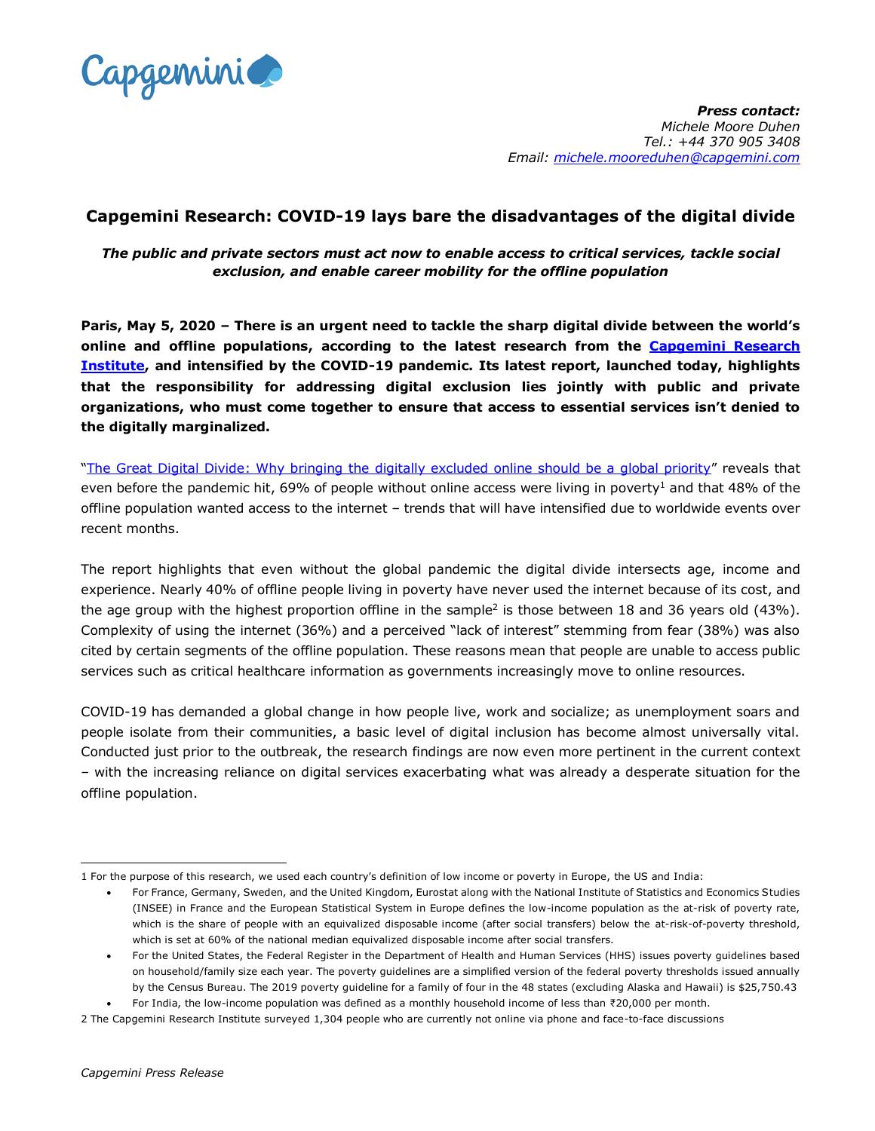

# **Capgemini Research: COVID-19 lays bare the disadvantages of the digital divide**

*The public and private sectors must act now to enable access to critical services, tackle social exclusion, and enable career mobility for the offline population*

**Paris, May 5, 2020 – There is an urgent need to tackle the sharp digital divide between the world's online and offline populations, according to the latest research from the [Capgemini](https://www.capgemini.com/research-institute/) Research [Institute,](https://www.capgemini.com/research-institute/) and intensified by the COVID-19 pandemic. Its latest report, launched today, highlights that the responsibility for addressing digital exclusion lies jointly with public and private organizations, who must come together to ensure that access to essential services isn't denied to the digitally marginalized.** 

"The Great Digital Divide: [Why bringing the digitally excluded online should be a global priority](https://www.capgemini.com/research/the-great-digital-divide/?utm_source=pr&utm_medium=referral&utm_content=none_none_link_pressrelease_none&utm_campaign=other_cri_digital-divide)" reveals that even before the pandemic hit, 69% of people without online access were living in poverty<sup>1</sup> and that 48% of the offline population wanted access to the internet – trends that will have intensified due to worldwide events over recent months.

The report highlights that even without the global pandemic the digital divide intersects age, income and experience. Nearly 40% of offline people living in poverty have never used the internet because of its cost, and the age group with the highest proportion offline in the sample<sup>2</sup> is those between 18 and 36 years old (43%). Complexity of using the internet (36%) and a perceived "lack of interest" stemming from fear (38%) was also cited by certain segments of the offline population. These reasons mean that people are unable to access public services such as critical healthcare information as governments increasingly move to online resources.

COVID-19 has demanded a global change in how people live, work and socialize; as unemployment soars and people isolate from their communities, a basic level of digital inclusion has become almost universally vital. Conducted just prior to the outbreak, the research findings are now even more pertinent in the current context – with the increasing reliance on digital services exacerbating what was already a desperate situation for the offline population.

 1 For the purpose of this research, we used each country's definition of low income or poverty in Europe, the US and India:

For France, Germany, Sweden, and the United Kingdom, Eurostat along with the National Institute of Statistics and Economics Studies (INSEE) in France and the European Statistical System in Europe defines the low-income population as the at-risk of poverty rate, which is the share of people with an equivalized disposable income (after social transfers) below the at-risk-of-poverty threshold, which is set at 60% of the national median equivalized disposable income after social transfers.

For the United States, the Federal Register in the Department of Health and Human Services (HHS) issues poverty guidelines based on household/family size each year. The poverty guidelines are a simplified version of the federal poverty thresholds issued annually by the Census Bureau. The 2019 poverty guideline for a family of four in the 48 states (excluding Alaska and Hawaii) is \$25,750.43 For India, the low-income population was defined as a monthly household income of less than ₹20,000 per month.

<sup>2</sup> The Capgemini Research Institute surveyed 1,304 people who are currently not online via phone and face-to-face discussions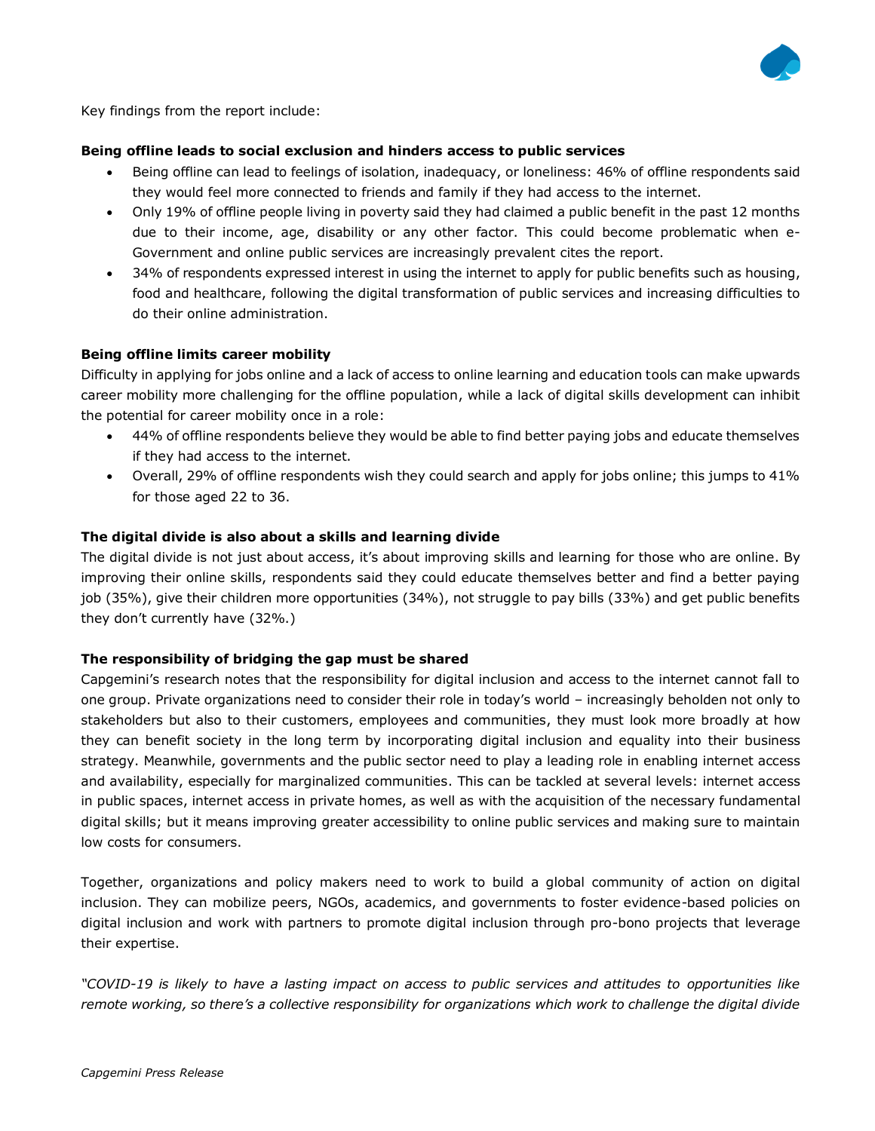

Key findings from the report include:

# **Being offline leads to social exclusion and hinders access to public services**

- Being offline can lead to feelings of isolation, inadequacy, or loneliness: 46% of offline respondents said they would feel more connected to friends and family if they had access to the internet.
- Only 19% of offline people living in poverty said they had claimed a public benefit in the past 12 months due to their income, age, disability or any other factor. This could become problematic when e-Government and online public services are increasingly prevalent cites the report.
- 34% of respondents expressed interest in using the internet to apply for public benefits such as housing, food and healthcare, following the digital transformation of public services and increasing difficulties to do their online administration.

# **Being offline limits career mobility**

Difficulty in applying for jobs online and a lack of access to online learning and education tools can make upwards career mobility more challenging for the offline population, while a lack of digital skills development can inhibit the potential for career mobility once in a role:

- 44% of offline respondents believe they would be able to find better paying jobs and educate themselves if they had access to the internet.
- Overall, 29% of offline respondents wish they could search and apply for jobs online; this jumps to 41% for those aged 22 to 36.

### **The digital divide is also about a skills and learning divide**

The digital divide is not just about access, it's about improving skills and learning for those who are online. By improving their online skills, respondents said they could educate themselves better and find a better paying job (35%), give their children more opportunities (34%), not struggle to pay bills (33%) and get public benefits they don't currently have (32%.)

#### **The responsibility of bridging the gap must be shared**

Capgemini's research notes that the responsibility for digital inclusion and access to the internet cannot fall to one group. Private organizations need to consider their role in today's world – increasingly beholden not only to stakeholders but also to their customers, employees and communities, they must look more broadly at how they can benefit society in the long term by incorporating digital inclusion and equality into their business strategy. Meanwhile, governments and the public sector need to play a leading role in enabling internet access and availability, especially for marginalized communities. This can be tackled at several levels: internet access in public spaces, internet access in private homes, as well as with the acquisition of the necessary fundamental digital skills; but it means improving greater accessibility to online public services and making sure to maintain low costs for consumers.

Together, organizations and policy makers need to work to build a global community of action on digital inclusion. They can mobilize peers, NGOs, academics, and governments to foster evidence-based policies on digital inclusion and work with partners to promote digital inclusion through pro-bono projects that leverage their expertise.

*"COVID-19 is likely to have a lasting impact on access to public services and attitudes to opportunities like remote working, so there's a collective responsibility for organizations which work to challenge the digital divide*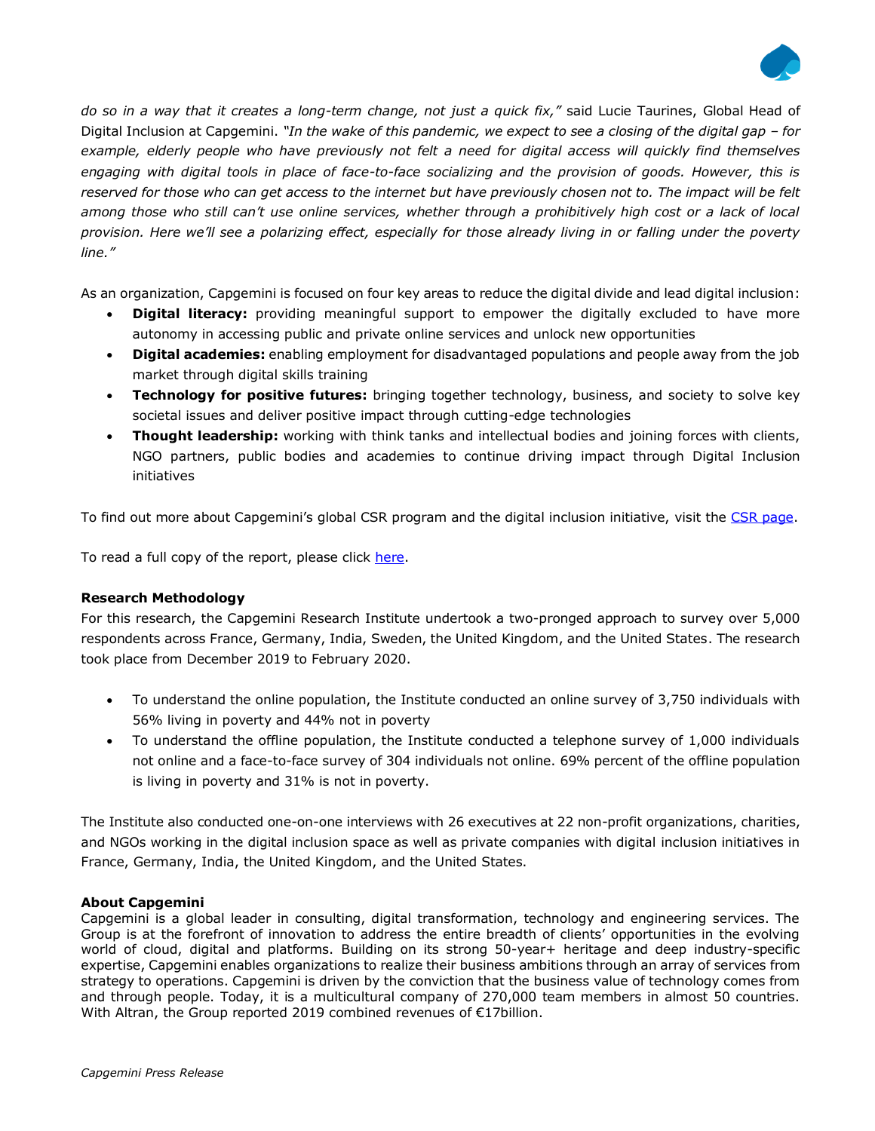

*do so in a way that it creates a long-term change, not just a quick fix,"* said Lucie Taurines, Global Head of Digital Inclusion at Capgemini. "In the wake of this pandemic, we expect to see a closing of the digital gap – for *example, elderly people who have previously not felt a need for digital access will quickly find themselves engaging with digital tools in place of face-to-face socializing and the provision of goods. However, this is reserved for those who can get access to the internet but have previously chosen not to. The impact will be felt among those who still can't use online services, whether through a prohibitively high cost or a lack of local provision. Here we'll see a polarizing effect, especially for those already living in or falling under the poverty line."*

As an organization, Capgemini is focused on four key areas to reduce the digital divide and lead digital inclusion:

- **Digital literacy:** providing meaningful support to empower the digitally excluded to have more autonomy in accessing public and private online services and unlock new opportunities
- **Digital academies:** enabling employment for disadvantaged populations and people away from the job market through digital skills training
- **Technology for positive futures:** bringing together technology, business, and society to solve key societal issues and deliver positive impact through cutting-edge technologies
- **Thought leadership:** working with think tanks and intellectual bodies and joining forces with clients, NGO partners, public bodies and academies to continue driving impact through Digital Inclusion initiatives

To find out more about Capgemini's global CSR program and the digital inclusion initiative, visit the [CSR page.](https://www.capgemini.com/our-company/our-corporate-social-responsibility-program/digital-inclusion/)

To read a full copy of the report, please click [here.](https://www.capgemini.com/research/the-great-digital-divide/?utm_source=pr&utm_medium=referral&utm_content=none_none_link_pressrelease_none&utm_campaign=other_cri_digital-divide)

# **Research Methodology**

For this research, the Capgemini Research Institute undertook a two-pronged approach to survey over 5,000 respondents across France, Germany, India, Sweden, the United Kingdom, and the United States. The research took place from December 2019 to February 2020.

- To understand the online population, the Institute conducted an online survey of 3,750 individuals with 56% living in poverty and 44% not in poverty
- To understand the offline population, the Institute conducted a telephone survey of 1,000 individuals not online and a face-to-face survey of 304 individuals not online. 69% percent of the offline population is living in poverty and 31% is not in poverty.

The Institute also conducted one-on-one interviews with 26 executives at 22 non-profit organizations, charities, and NGOs working in the digital inclusion space as well as private companies with digital inclusion initiatives in France, Germany, India, the United Kingdom, and the United States.

# **About Capgemini**

Capgemini is a global leader in consulting, digital transformation, technology and engineering services. The Group is at the forefront of innovation to address the entire breadth of clients' opportunities in the evolving world of cloud, digital and platforms. Building on its strong 50-year+ heritage and deep industry-specific expertise, Capgemini enables organizations to realize their business ambitions through an array of services from strategy to operations. Capgemini is driven by the conviction that the business value of technology comes from and through people. Today, it is a multicultural company of 270,000 team members in almost 50 countries. With Altran, the Group reported 2019 combined revenues of €17billion.